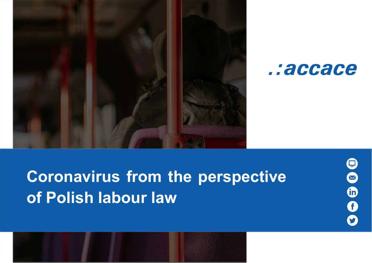



# **Coronavirus from the perspective of Polish labour law**

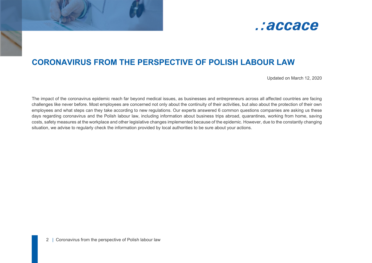

# **CORONAVIRUS FROM THE PERSPECTIVE OF POLISH LABOUR LAW**

Updated on March 12, 2020

The impact of the coronavirus epidemic reach far beyond medical issues, as businesses and entrepreneurs across all affected countries are facing challenges like never before. Most employees are concerned not only about the continuity of their activities, but also about the protection of their own employees and what steps can they take according to new regulations. Our experts answered 6 common questions companies are asking us these days regarding coronavirus and the Polish labour law, including information about business trips abroad, quarantines, working from home, saving costs, safety measures at the workplace and other legislative changes implemented because of the epidemic. However, due to the constantly changing situation, we advise to regularly check the information provided by local authorities to be sure about your actions.

ł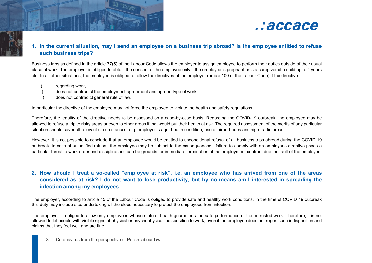

## **1. In the current situation, may I send an employee on a business trip abroad? Is the employee entitled to refuse such business trips?**

Business trips as defined in the article 77(5) of the Labour Code allows the employer to assign employee to perform their duties outside of their usual place of work. The employer is obliged to obtain the consent of the employee only if the employee is pregnant or is a caregiver of a child up to 4 years old. In all other situations, the employee is obliged to follow the directives of the employer (article 100 of the Labour Code) if the directive

i) regarding work,

ł

- ii) does not contradict the employment agreement and agreed type of work,
- iii) does not contradict general rule of law.

In particular the directive of the employee may not force the employee to violate the health and safety regulations.

Therefore, the legality of the directive needs to be assessed on a case-by-case basis. Regarding the COVID-19 outbreak, the employee may be allowed to refuse a trip to risky areas or even to other areas if that would put their health at risk. The required assessment of the merits of any particular situation should cover all relevant circumstances, e.g. employee's age, health condition, use of airport hubs and high traffic areas.

However, it is not possible to conclude that an employee would be entitled to unconditional refusal of all business trips abroad during the COVID 19 outbreak. In case of unjustified refusal, the employee may be subject to the consequences - failure to comply with an employer's directive poses a particular threat to work order and discipline and can be grounds for immediate termination of the employment contract due the fault of the employee.

## **2. How should I treat a so-called "employee at risk", i.e. an employee who has arrived from one of the areas considered as at risk? I do not want to lose productivity, but by no means am I interested in spreading the infection among my employees.**

The employer, according to article 15 of the Labour Code is obliged to provide safe and healthy work conditions. In the time of COVID 19 outbreak this duty may include also undertaking all the steps necessary to protect the employees from infection.

The employer is obliged to allow only employees whose state of health guarantees the safe performance of the entrusted work. Therefore, it is not allowed to let people with visible signs of physical or psychophysical indisposition to work, even if the employee does not report such indisposition and claims that they feel well and are fine.

3 | Coronavirus from the perspective of Polish labour law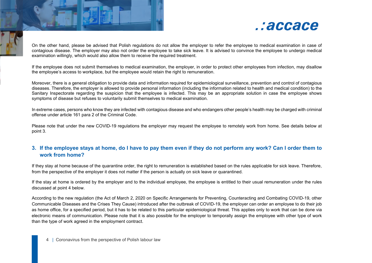

On the other hand, please be advised that Polish regulations do not allow the employer to refer the employee to medical examination in case of contagious disease. The employer may also not order the employee to take sick leave. It is advised to convince the employee to undergo medical examination willingly, which would also allow them to receive the required treatment.

If the employee does not submit themselves to medical examination, the employer, in order to protect other employees from infection, may disallow the employee's access to workplace, but the employee would retain the right to remuneration.

Moreover, there is a general obligation to provide data and information required for epidemiological surveillance, prevention and control of contagious diseases. Therefore, the employer is allowed to provide personal information (including the information related to health and medical condition) to the Sanitary Inspectorate regarding the suspicion that the employee is infected. This may be an appropriate solution in case the employee shows symptoms of disease but refuses to voluntarily submit themselves to medical examination.

In extreme cases, persons who know they are infected with contagious disease and who endangers other people's health may be charged with criminal offense under article 161 para 2 of the Criminal Code.

Please note that under the new COVID-19 regulations the employer may request the employee to remotely work from home. See details below at point 3.

### **3. If the employee stays at home, do I have to pay them even if they do not perform any work? Can I order them to work from home?**

If they stay at home because of the quarantine order, the right to remuneration is established based on the rules applicable for sick leave. Therefore, from the perspective of the employer it does not matter if the person is actually on sick leave or quarantined.

If the stay at home is ordered by the employer and to the individual employee, the employee is entitled to their usual remuneration under the rules discussed at point 4 below.

According to the new regulation (the Act of March 2, 2020 on Specific Arrangements for Preventing, Counteracting and Combating COVID-19, other Communicable Diseases and the Crises They Cause) introduced after the outbreak of COVID-19, the employer can order an employee to do their job as home office, for a specified period, but it has to be related to this particular epidemiological threat. This applies only to work that can be done via electronic means of communication. Please note that it is also possible for the employer to temporally assign the employee with other type of work than the type of work agreed in the employment contract.

4 | Coronavirus from the perspective of Polish labour law

ł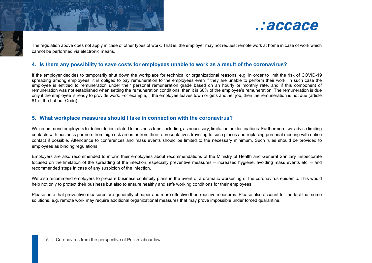

The regulation above does not apply in case of other types of work. That is, the employer may not request remote work at home in case of work which cannot be performed via electronic means.

#### **4. Is there any possibility to save costs for employees unable to work as a result of the coronavirus?**

If the employer decides to temporarily shut down the workplace for technical or organizational reasons, e.g. in order to limit the risk of COVID-19 spreading among employees, it is obliged to pay remuneration to the employees even if they are unable to perform their work. In such case the employee is entitled to remuneration under their personal remuneration grade based on an hourly or monthly rate, and if this component of remuneration was not established when setting the remuneration conditions, then it is 60% of the employee's remuneration. The remuneration is due only if the employee is ready to provide work. For example, if the employee leaves town or gets another job, then the remuneration is not due (article 81 of the Labour Code).

#### **5. What workplace measures should I take in connection with the coronavirus?**

We recommend employers to define duties related to business trips, including, as necessary, limitation on destinations. Furthermore, we advise limiting contacts with business partners from high risk areas or from their representatives traveling to such places and replacing personal meeting with online contact if possible. Attendance to conferences and mass events should be limited to the necessary minimum. Such rules should be provided to employees as binding regulations.

Employers are also recommended to inform their employees about recommendations of the Ministry of Health and General Sanitary Inspectorate focused on the limitation of the spreading of the infection, especially preventive measures – increased hygiene, avoiding mass events etc. – and recommended steps in case of any suspicion of the infection.

We also recommend employers to prepare business continuity plans in the event of a dramatic worsening of the coronavirus epidemic. This would help not only to protect their business but also to ensure healthy and safe working conditions for their employees.

Please note that preventive measures are generally cheaper and more effective than reactive measures. Please also account for the fact that some solutions, e.g. remote work may require additional organizational measures that may prove impossible under forced quarantine.

ł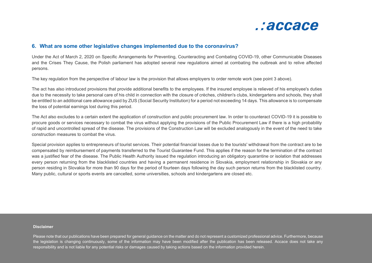

#### **6. What are some other legislative changes implemented due to the coronavirus?**

Under the Act of March 2, 2020 on Specific Arrangements for Preventing, Counteracting and Combating COVID-19, other Communicable Diseases and the Crises They Cause, the Polish parliament has adopted several new regulations aimed at combating the outbreak and to relive affected persons.

The key regulation from the perspective of labour law is the provision that allows employers to order remote work (see point 3 above).

The act has also introduced provisions that provide additional benefits to the employees. If the insured employee is relieved of his employee's duties due to the necessity to take personal care of his child in connection with the closure of crèches, children's clubs, kindergartens and schools, they shall be entitled to an additional care allowance paid by ZUS (Social Security Institution) for a period not exceeding 14 days. This allowance is to compensate the loss of potential earnings lost during this period.

The Act also excludes to a certain extent the application of construction and public procurement law. In order to counteract COVID-19 it is possible to procure goods or services necessary to combat the virus without applying the provisions of the Public Procurement Law if there is a high probability of rapid and uncontrolled spread of the disease. The provisions of the Construction Law will be excluded analogously in the event of the need to take construction measures to combat the virus.

Special provision applies to entrepreneurs of tourist services. Their potential financial losses due to the tourists' withdrawal from the contract are to be compensated by reimbursement of payments transferred to the Tourist Guarantee Fund. This applies if the reason for the termination of the contract was a justified fear of the disease. The Public Health Authority issued the regulation introducing an obligatory quarantine or isolation that addresses every person returning from the blacklisted countries and having a permanent residence in Slovakia, employment relationship in Slovakia or any person residing in Slovakia for more than 90 days for the period of fourteen days following the day such person returns from the blacklisted country. Many public, cultural or sports events are cancelled, some universities, schools and kindergartens are closed etc.

#### **Disclaimer**

 Please note that our publications have been prepared for general guidance on the matter and do not represent a customized professional advice. Furthermore, because the legislation is changing continuously, some of the information may have been modified after the publication has been released. Accace does not take any responsibility and is not liable for any potential risks or damages caused by taking actions based on the information provided herein.